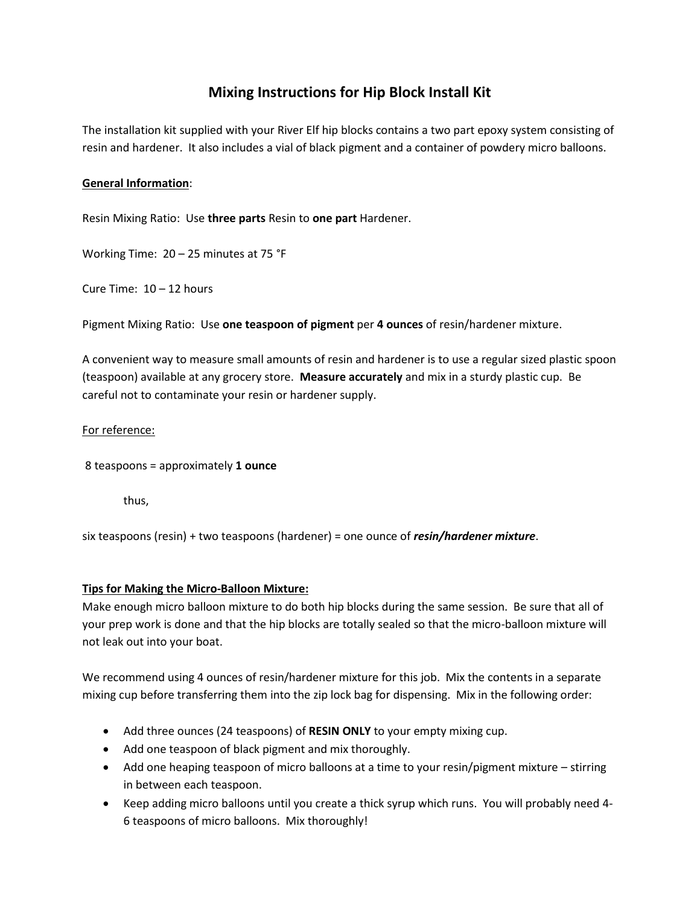# **Mixing Instructions for Hip Block Install Kit**

The installation kit supplied with your River Elf hip blocks contains a two part epoxy system consisting of resin and hardener. It also includes a vial of black pigment and a container of powdery micro balloons.

### **General Information**:

Resin Mixing Ratio: Use **three parts** Resin to **one part** Hardener.

Working Time: 20 – 25 minutes at 75 °F

Cure Time: 10 – 12 hours

Pigment Mixing Ratio: Use **one teaspoon of pigment** per **4 ounces** of resin/hardener mixture.

A convenient way to measure small amounts of resin and hardener is to use a regular sized plastic spoon (teaspoon) available at any grocery store. **Measure accurately** and mix in a sturdy plastic cup. Be careful not to contaminate your resin or hardener supply.

#### For reference:

8 teaspoons = approximately **1 ounce**

thus,

six teaspoons (resin) + two teaspoons (hardener) = one ounce of *resin/hardener mixture*.

#### **Tips for Making the Micro-Balloon Mixture:**

Make enough micro balloon mixture to do both hip blocks during the same session. Be sure that all of your prep work is done and that the hip blocks are totally sealed so that the micro-balloon mixture will not leak out into your boat.

We recommend using 4 ounces of resin/hardener mixture for this job. Mix the contents in a separate mixing cup before transferring them into the zip lock bag for dispensing. Mix in the following order:

- Add three ounces (24 teaspoons) of **RESIN ONLY** to your empty mixing cup.
- Add one teaspoon of black pigment and mix thoroughly.
- Add one heaping teaspoon of micro balloons at a time to your resin/pigment mixture stirring in between each teaspoon.
- Keep adding micro balloons until you create a thick syrup which runs. You will probably need 4- 6 teaspoons of micro balloons. Mix thoroughly!